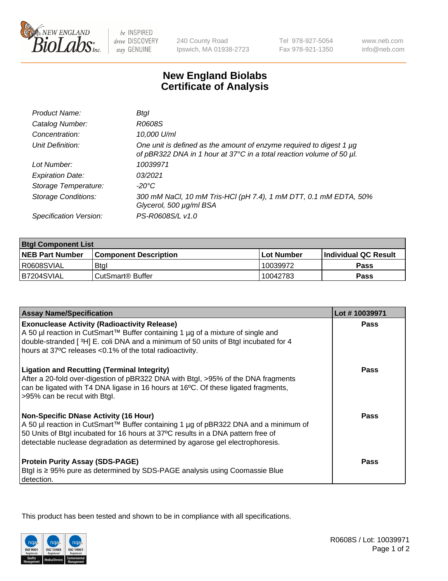

 $be$  INSPIRED drive DISCOVERY stay GENUINE

240 County Road Ipswich, MA 01938-2723 Tel 978-927-5054 Fax 978-921-1350

www.neb.com info@neb.com

## **New England Biolabs Certificate of Analysis**

| Product Name:              | Btal                                                                                                                                             |
|----------------------------|--------------------------------------------------------------------------------------------------------------------------------------------------|
| Catalog Number:            | R0608S                                                                                                                                           |
| Concentration:             | 10,000 U/ml                                                                                                                                      |
| Unit Definition:           | One unit is defined as the amount of enzyme required to digest 1 $\mu$ g<br>of pBR322 DNA in 1 hour at 37°C in a total reaction volume of 50 µl. |
| Lot Number:                | 10039971                                                                                                                                         |
| <b>Expiration Date:</b>    | 0.3/2021                                                                                                                                         |
| Storage Temperature:       | -20°C                                                                                                                                            |
| <b>Storage Conditions:</b> | 300 mM NaCl, 10 mM Tris-HCl (pH 7.4), 1 mM DTT, 0.1 mM EDTA, 50%<br>Glycerol, 500 µg/ml BSA                                                      |
| Specification Version:     | PS-R0608S/L v1.0                                                                                                                                 |

| <b>Btgl Component List</b> |                              |              |                             |  |
|----------------------------|------------------------------|--------------|-----------------------------|--|
| <b>NEB Part Number</b>     | <b>Component Description</b> | l Lot Number | <b>Individual QC Result</b> |  |
| R0608SVIAL                 | Btgl                         | 10039972     | Pass                        |  |
| I B7204SVIAL               | CutSmart <sup>®</sup> Buffer | 10042783     | Pass                        |  |

| <b>Assay Name/Specification</b>                                                                                                                                                                                                                                                                          | Lot #10039971 |
|----------------------------------------------------------------------------------------------------------------------------------------------------------------------------------------------------------------------------------------------------------------------------------------------------------|---------------|
| <b>Exonuclease Activity (Radioactivity Release)</b><br>A 50 µl reaction in CutSmart™ Buffer containing 1 µg of a mixture of single and                                                                                                                                                                   | Pass          |
| double-stranded [3H] E. coli DNA and a minimum of 50 units of Btgl incubated for 4<br>hours at 37°C releases <0.1% of the total radioactivity.                                                                                                                                                           |               |
| <b>Ligation and Recutting (Terminal Integrity)</b><br>After a 20-fold over-digestion of pBR322 DNA with Btgl, >95% of the DNA fragments<br>can be ligated with T4 DNA ligase in 16 hours at 16°C. Of these ligated fragments,<br>>95% can be recut with Btgl.                                            | <b>Pass</b>   |
| <b>Non-Specific DNase Activity (16 Hour)</b><br>A 50 µl reaction in CutSmart™ Buffer containing 1 µg of pBR322 DNA and a minimum of<br>50 Units of Btgl incubated for 16 hours at 37°C results in a DNA pattern free of<br>detectable nuclease degradation as determined by agarose gel electrophoresis. | Pass          |
| <b>Protein Purity Assay (SDS-PAGE)</b><br>Btgl is ≥ 95% pure as determined by SDS-PAGE analysis using Coomassie Blue<br>detection.                                                                                                                                                                       | Pass          |

This product has been tested and shown to be in compliance with all specifications.